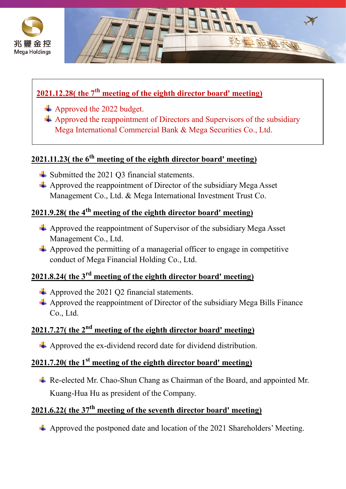



#### **2021.12.28( the 7th meeting of the eighth director board' meeting)**

- Approved the 2022 budget.
- $\triangleq$  Approved the reappointment of Directors and Supervisors of the subsidiary Mega International Commercial Bank & Mega Securities Co., Ltd.

# **2021.11.23( the 6th meeting of the eighth director board' meeting)**

- **►** Submitted the 2021 O3 financial statements.
- $\overline{\phantom{a}}$  Approved the reappointment of Director of the subsidiary Mega Asset Management Co., Ltd. & Mega International Investment Trust Co.

#### **2021.9.28( the 4th meeting of the eighth director board' meeting)**

- $\overline{\phantom{a}}$  Approved the reappointment of Supervisor of the subsidiary Mega Asset Management Co., Ltd.
- $\overline{\phantom{a}}$  Approved the permitting of a managerial officer to engage in competitive conduct of Mega Financial Holding Co., Ltd.

### **2021.8.24( the 3rd meeting of the eighth director board' meeting)**

- $\overline{\phantom{a}}$  Approved the 2021 Q2 financial statements.
- $\triangle$  Approved the reappointment of Director of the subsidiary Mega Bills Finance Co., Ltd.

# **2021.7.27( the 2nd meeting of the eighth director board' meeting)**

Approved the ex-dividend record date for dividend distribution.

#### **2021.7.20( the 1st meeting of the eighth director board' meeting)**

Re-elected Mr. Chao-Shun Chang as Chairman of the Board, and appointed Mr. Kuang-Hua Hu as president of the Company.

#### **2021.6.22( the 37th meeting of the seventh director board' meeting)**

 $\overline{\text{4}}$  Approved the postponed date and location of the 2021 Shareholders' Meeting.